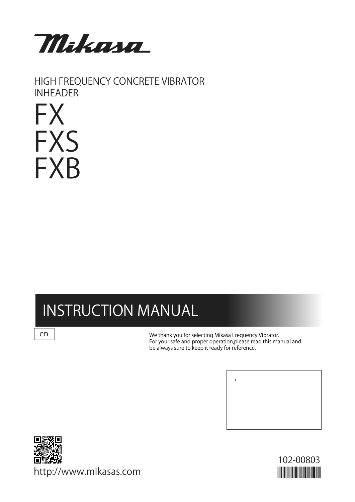

HIGH FREQUENCY CONCRETE VIBRATOR INHEADER

# FX **FXS** FXB

# INSTRUCTION MANUAL

en

We thank you for selecting Mikasa Frequency Vibrator. For your safe and proper operation,please read this manual and be always sure to keep it ready for reference.





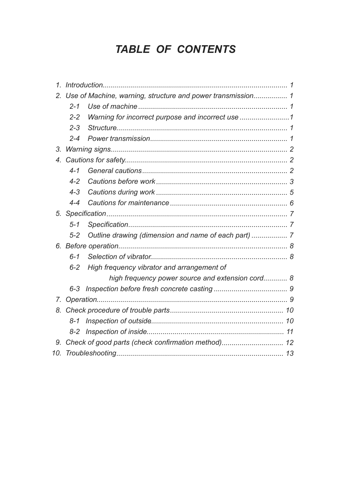# TABLE OF CONTENTS

|     | 2. Use of Machine, warning, structure and power transmission 1 |  |
|-----|----------------------------------------------------------------|--|
|     | $2 - 1$                                                        |  |
|     | Warning for incorrect purpose and incorrect use<br>$2 - 2$     |  |
|     | $2 - 3$                                                        |  |
|     | $2 - 4$                                                        |  |
|     |                                                                |  |
|     |                                                                |  |
|     | $4 - 1$                                                        |  |
|     | $4 - 2$                                                        |  |
|     | $4 - 3$                                                        |  |
|     | $4 - 4$                                                        |  |
|     |                                                                |  |
|     | $5 - 1$                                                        |  |
|     | $5 - 2$                                                        |  |
|     |                                                                |  |
|     | $6 - 1$                                                        |  |
|     | High frequency vibrator and arrangement of<br>$6 - 2$          |  |
|     | high frequency power source and extension cord 8               |  |
|     |                                                                |  |
|     |                                                                |  |
|     |                                                                |  |
|     |                                                                |  |
|     |                                                                |  |
|     | 9. Check of good parts (check confirmation method) 12          |  |
| 10. |                                                                |  |
|     |                                                                |  |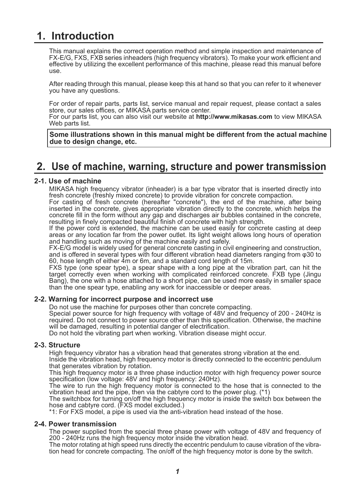# **1. Introduction**

This manual explains the correct operation method and simple inspection and maintenance of FX-E/G, FXS, FXB series inheaders (high frequency vibrators). To make your work efficient and effective by utilizing the excellent performance of this machine, please read this manual before use.

After reading through this manual, please keep this at hand so that you can refer to it whenever you have any questions.

For order of repair parts, parts list, service manual and repair request, please contact a sales store, our sales offices, or MIKASA parts service center.

For our parts list, you can also visit our website at **http://www.mikasas.com** to view MIKASA Web parts list.

**Some illustrations shown in this manual might be different from the actual machine due to design change, etc.**

# **2. Use of machine, warning, structure and power transmission**

#### **2-1. Use of machine**

MIKASA high frequency vibrator (inheader) is a bar type vibrator that is inserted directly into fresh concrete (freshly mixed concrete) to provide vibration for concrete compaction.

For casting of fresh concrete (hereafter "concrete"), the end of the machine, after being inserted in the concrete, gives appropriate vibration directly to the concrete, which helps the concrete fill in the form without any gap and discharges air bubbles contained in the concrete, resulting in finely compacted beautiful finish of concrete with high strength.

If the power cord is extended, the machine can be used easily for concrete casting at deep areas or any location far from the power outlet. Its light weight allows long hours of operation and handling such as moving of the machine easily and safely.

FX-E/G model is widely used for general concrete casting in civil engineering and construction, and is offered in several types with four different vibration head diameters ranging from φ30 to 60, hose length of either 4m or 6m, and a standard cord length of 15m.

FXS type (one spear type), a spear shape with a long pipe at the vibration part, can hit the target correctly even when working with complicated reinforced concrete. FXB type (Jingu Bang), the one with a hose attached to a short pipe, can be used more easily in smaller space than the one spear type, enabling any work for inaccessible or deeper areas.

#### **2-2. Warning for incorrect purpose and incorrect use**

Do not use the machine for purposes other than concrete compacting.

Special power source for high frequency with voltage of 48V and frequency of 200 - 240Hz is required. Do not connect to power source other than this specification. Otherwise, the machine will be damaged, resulting in potential danger of electrification.

Do not hold the vibrating part when working. Vibration disease might occur.

#### **2-3. Structure**

High frequency vibrator has a vibration head that generates strong vibration at the end.

Inside the vibration head, high frequency motor is directly connected to the eccentric pendulum that generates vibration by rotation.

This high frequency motor is a three phase induction motor with high frequency power source specification (low voltage: 48V and high frequency: 240Hz).

The wire to run the high frequency motor is connected to the hose that is connected to the vibration head and the pipe, then via the cabtyre cord to the power plug. (\*1)

The switchbox for turning on/off the high frequency motor is inside the switch box between the hose and cabtyre cord. (FXS model excluded.)

\*1: For FXS model, a pipe is used via the anti-vibration head instead of the hose.

#### **2-4. Power transmission**

The power supplied from the special three phase power with voltage of 48V and frequency of 200 - 240Hz runs the high frequency motor inside the vibration head.

The motor rotating at high speed runs directly the eccentric pendulum to cause vibration of the vibration head for concrete compacting. The on/off of the high frequency motor is done by the switch.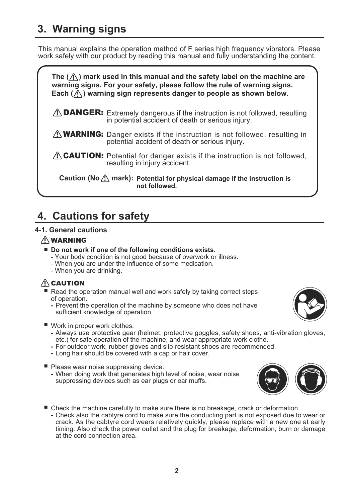# **3. Warning signs**

This manual explains the operation method of F series high frequency vibrators. Please work safely with our product by reading this manual and fully understanding the content.



# **4. Cautions for safety**

#### **4-1. General cautions**

#### 䟿 WARNING

- Do not work if one of the following conditions exists.
	- Your body condition is not good because of overwork or illness.
	- When you are under the influence of some medication.
	- When you are drinking.

# $/ \Lambda$  CAUTION

- Read the operation manual well and work safely by taking correct steps of operation.
	- Prevent the operation of the machine by someone who does not have  sufficient knowledge of operation.



- Work in proper work clothes.
	- Always use protective gear (helmet, protective goggles, safety shoes, anti-vibration gloves,  etc.) for safe operation of the machine, and wear appropriate work clothe.
	- For outdoor work, rubber gloves and slip-resistant shoes are recommended. **-**
	- Long hair should be covered with a cap or hair cover.
- Please wear noise suppressing device.
	- When doing work that generates high level of noise, wear noise  suppressing devices such as ear plugs or ear muffs.

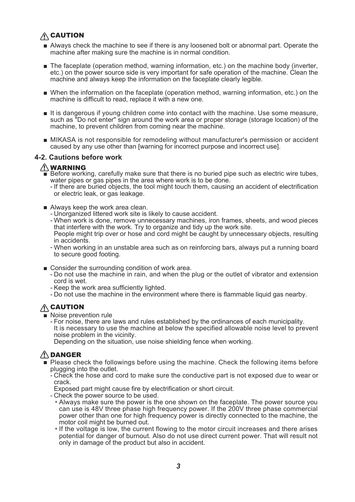# **A** CAUTION

- Always check the machine to see if there is any loosened bolt or abnormal part. Operate the machine after making sure the machine is in normal condition.
- The faceplate (operation method, warning information, etc.) on the machine body (inverter, etc.) on the power source side is very important for safe operation of the machine. Clean the machine and always keep the information on the faceplate clearly legible.
- When the information on the faceplate (operation method, warning information, etc.) on the machine is difficult to read, replace it with a new one.
- It is dangerous if young children come into contact with the machine. Use some measure, such as "Do not enter" sign around the work area or proper storage (storage location) of the machine, to prevent children from coming near the machine.
- MIKASA is not responsible for remodeling without manufacturer's permission or accident caused by any use other than [warning for incorrect purpose and incorrect use].

#### **4-2. Cautions before work**

#### 䟿 WARNING

- Before working, carefully make sure that there is no buried pipe such as electric wire tubes, water pipes or gas pipes in the area where work is to be done. ■
	- If there are buried objects, the tool might touch them, causing an accident of electrification or electric leak, or gas leakage.
- Always keep the work area clean.
	- Unorganized littered work site is likely to cause accident. -
	- When work is done, remove unnecessary machines, iron frames, sheets, and wood pieces that interfere with the work. Try to organize and tidy up the work site. People might trip over or hose and cord might be caught by unnecessary objects, resulting
	- in accidents.
	- When working in an unstable area such as on reinforcing bars, always put a running board to secure good footing.
- Consider the surrounding condition of work area.
	- Do not use the machine in rain, and when the plug or the outlet of vibrator and extension cord is wet.
	- Keep the work area sufficiently lighted.
	- Do not use the machine in the environment where there is flammable liquid gas nearby.

### $\bigwedge$  CAUTION

- Noise prevention rule
	- For noise, there are laws and rules established by the ordinances of each municipality. It is necessary to use the machine at below the specified allowable noise level to prevent noise problem in the vicinity.
	- Depending on the situation, use noise shielding fence when working.

### 䟿 DANGER

- Please check the followings before using the machine. Check the following items before plugging into the outlet.
	- Check the hose and cord to make sure the conductive part is not exposed due to wear or crack.
	- Exposed part might cause fire by electrification or short circuit.
	- Check the power source to be used. -
	- \* Always make sure the power is the one shown on the faceplate. The power source you can use is 48V three phase high frequency power. If the 200V three phase commercial power other than one for high frequency power is directly connected to the machine, the motor coil might be burned out.
	- \* If the voltage is low, the current flowing to the motor circuit increases and there arises potential for danger of burnout. Also do not use direct current power. That will result not only in damage of the product but also in accident.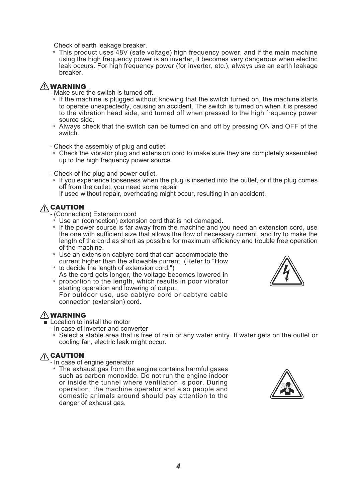Check of earth leakage breaker.

 \* This product uses 48V (safe voltage) high frequency power, and if the main machine using the high frequency power is an inverter, it becomes very dangerous when electric leak occurs. For high frequency power (for inverter, etc.), always use an earth leakage breaker.

#### <u>/\</u> WARNING

- Make sure the switch is turned off.

- \* If the machine is plugged without knowing that the switch turned on, the machine starts to operate unexpectedly, causing an accident. The switch is turned on when it is pressed to the vibration head side, and turned off when pressed to the high frequency power source side.
- \* Always check that the switch can be turned on and off by pressing ON and OFF of the switch.

Check the assembly of plug and outlet. -

 \* Check the vibrator plug and extension cord to make sure they are completely assembled up to the high frequency power source.

- Check of the plug and power outlet.

 \* If you experience looseness when the plug is inserted into the outlet, or if the plug comes off from the outlet, you need some repair.

If used without repair, overheating might occur, resulting in an accident.

### A CAUTION

(Connection) Extension cord -

- \* Use an (connection) extension cord that is not damaged.
- \* If the power source is far away from the machine and you need an extension cord, use the one with sufficient size that allows the flow of necessary current, and try to make the length of the cord as short as possible for maximum efficiency and trouble free operation of the machine.
- \* Use an extension cabtyre cord that can accommodate the current higher than the allowable current. (Refer to "How
- \* to decide the length of extension cord.")
- \* proportion to the length, which results in poor vibrator As the cord gets longer, the voltage becomes lowered in
- 

starting operation and lowering of output. For outdoor use, use cabtyre cord or cabtyre cable connection (extension) cord.

### 䟿 WARNING

■ Location to install the motor

- In case of inverter and converter
- \* Select a stable area that is free of rain or any water entry. If water gets on the outlet or cooling fan, electric leak might occur.

# $\hat{N}$  CAUTION

- In case of engine generator

 \* The exhaust gas from the engine contains harmful gases such as carbon monoxide. Do not run the engine indoor or inside the tunnel where ventilation is poor. During operation, the machine operator and also people and domestic animals around should pay attention to the danger of exhaust gas.

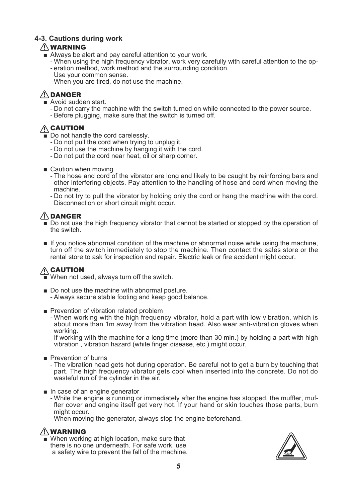#### **4-3. Cautions during work**

#### 䟿 WARNING

- Always be alert and pay careful attention to your work.
	- When using the high frequency vibrator, work very carefully with careful attention to the op- eration method, work method and the surrounding condition. -
	- Use your common sense.
	- When you are tired, do not use the machine. -

#### 䟿 DANGER

- Avoid sudden start.
	- Do not carry the machine with the switch turned on while connected to the power source.
	- Before plugging, make sure that the switch is turned off.

### $\bigwedge$  CAUTION

- Do not handle the cord carelessly.
	- Do not pull the cord when trying to unplug it.
	- Do not use the machine by hanging it with the cord.
	- Do not put the cord near heat, oil or sharp corner.
- Caution when moving
	- The hose and cord of the vibrator are long and likely to be caught by reinforcing bars and other interfering objects. Pay attention to the handling of hose and cord when moving the machine.
	- Do not try to pull the vibrator by holding only the cord or hang the machine with the cord. Disconnection or short circuit might occur.

### 䟿 DANGER

- Do not use the high frequency vibrator that cannot be started or stopped by the operation of the switch.
- If you notice abnormal condition of the machine or abnormal noise while using the machine, turn off the switch immediately to stop the machine. Then contact the sales store or the rental store to ask for inspection and repair. Electric leak or fire accident might occur.

# A CAUTION

■ When not used, always turn off the switch.

- Do not use the machine with abnormal posture. Always secure stable footing and keep good balance. -
- Prevention of vibration related problem
	- When working with the high frequency vibrator, hold a part with low vibration, which is about more than 1m away from the vibration head. Also wear anti-vibration gloves when working.

If working with the machine for a long time (more than 30 min.) by holding a part with high vibration , vibration hazard (white finger disease, etc.) might occur.

■ Prevention of burns

- The vibration head gets hot during operation. Be careful not to get a burn by touching that part. The high frequency vibrator gets cool when inserted into the concrete. Do not do wasteful run of the cylinder in the air.

- In case of an engine generator
	- While the engine is running or immediately after the engine has stopped, the muffler, muffler cover and engine itself get very hot. If your hand or skin touches those parts, burn might occur.
	- When moving the generator, always stop the engine beforehand. -

#### 䟿 WARNING

■ When working at high location, make sure that there is no one underneath. For safe work, use a safety wire to prevent the fall of the machine.

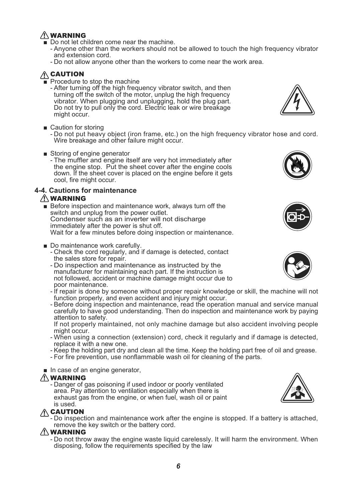### 䟿 WARNING

- Do not let children come near the machine.
	- Anyone other than the workers should not be allowed to touch the high frequency vibrator and extension cord.
	- Do not allow anyone other than the workers to come near the work area.

### **A** CAUTION

■ Procedure to stop the machine

After turning off the high frequency vibrator switch, and then turning off the switch of the motor, unplug the high frequency vibrator. When plugging and unplugging, hold the plug part. Do not try to pull only the cord. Electric leak or wire breakage might occur.

■ Caution for storing

- Do not put heavy object (iron frame, etc.) on the high frequency vibrator hose and cord. Wire breakage and other failure might occur.

- Storing of engine generator
	- The muffler and engine itself are very hot immediately after the engine stop. Put the sheet cover after the engine cools down. If the sheet cover is placed on the engine before it gets cool, fire might occur.

#### **4-4. Cautions for maintenance**

#### 䟿 WARNING

- Before inspection and maintenance work, always turn off the switch and unplug from the power outlet. Condenser such as an inverter will not discharge immediately after the power is shut off. Wait for a few minutes before doing inspection or maintenance.
- Do maintenance work carefully.
	- Check the cord regularly, and if damage is detected, contact the sales store for repair.
	- Do inspection and maintenance as instructed by the manufacturer for maintaining each part. If the instruction is not followed, accident or machine damage might occur due to poor maintenance.
	- If repair is done by someone without proper repair knowledge or skill, the machine will not function properly, and even accident and injury might occur.
	- Before doing inspection and maintenance, read the operation manual and service manual carefully to have good understanding. Then do inspection and maintenance work by paying attention to safety.

If not properly maintained, not only machine damage but also accident involving people might occur.

- When using a connection (extension) cord, check it regularly and if damage is detected, replace it with a new one.
- Keep the holding part dry and clean all the time. Keep the holding part free of oil and grease.
- For fire prevention, use nonflammable wash oil for cleaning of the parts. -
- In case of an engine generator,

### 䟿 WARNING

- Danger of gas poisoning if used indoor or poorly ventilated area. Pay attention to ventilation especially when there is exhaust gas from the engine, or when fuel, wash oil or paint is used.

### 䟿 CAUTION

- Do inspection and maintenance work after the engine is stopped. If a battery is attached, remove the key switch or the battery cord.

#### 䟿 WARNING

- Do not throw away the engine waste liquid carelessly. It will harm the environment. When disposing, follow the requirements specified by the law









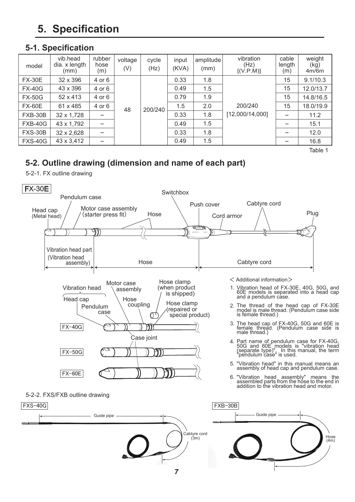# **5. Specification**

## **5-1. Specification**

| model          | vib.head<br>dia. x length<br>(mm) | rubber<br>hose<br>(m) | voltage<br>(V) | cycle<br>(Hz) | input<br>(KVA) | amplitude<br>(mm) | vibration<br>(Hz)<br>[(V.P.M)] | cable<br>length<br>(m) | weight<br>(kg)<br>4m/6m |
|----------------|-----------------------------------|-----------------------|----------------|---------------|----------------|-------------------|--------------------------------|------------------------|-------------------------|
| <b>FX-30E</b>  | 32 x 396                          | 4 or 6                |                |               | 0.33           | 1.8               |                                | 15                     | 9.1/10.3                |
| <b>FX-40G</b>  | 43 x 396                          | 4 or 6                |                |               | 0.49           | 1.5               |                                | 15                     | 12.0/13.7               |
| <b>FX-50G</b>  | 52 x 413                          | 4 or 6                | 48<br>200/240  | 0.79          | 1.9            |                   | 15                             | 14.8/16.5              |                         |
| <b>FX-60E</b>  | 61 x 485                          | 4 or 6                |                |               | 1.5            | 2.0               | 200/240                        | 15                     | 18.0/19.9               |
| FXB-30B        | 32 x 1,728                        |                       |                | 0.33          | 1.8            | [12,000/14,000]   |                                | 11.2                   |                         |
| FXB-40G        | 43 x 1,792                        | -                     |                | 0.49          | 1.5            |                   | -                              | 15.1                   |                         |
| <b>FXS-30B</b> | 32 x 2,628                        |                       |                | 0.33          | 1.8            |                   |                                | 12.0                   |                         |
| <b>FXS-40G</b> | 43 x 3,412                        | $\equiv$              |                |               | 0.49           | 1.5               |                                |                        | 16.8                    |

Table 1

# **5-2. Outline drawing (dimension and name of each part)**

5-2-1. FX outline drawing



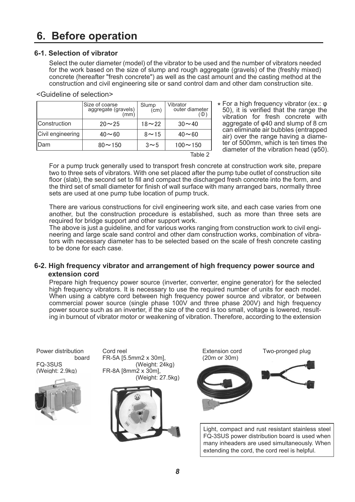# **6. Before operation**

#### **6-1. Selection of vibrator**

<Guideline of selection>

Select the outer diameter (model) of the vibrator to be used and the number of vibrators needed for the work based on the size of slump and rough aggregate (gravels) of the (freshly mixed) concrete (hereafter "fresh concrete") as well as the cast amount and the casting method at the construction and civil engineering site or sand control dam and other dam construction site.

#### $20 \sim 25$   $\mid$   $18 \sim 22$   $\mid$   $30 \sim 40$  $40 \sim 60$  |  $8 \sim 15$  |  $40 \sim 60$  $80 \sim 150$   $\vert$   $3 \sim 5$   $\vert$   $100 \sim 150$ Size of coarse aggregate (gravels) (mm) Slump  $(cm)$ Construction Civil engineering Dam Vibrator outer diameter (Φ) Table 2

\* For a high frequency vibrator (ex.:  $\varphi$ <br>50) it is verified that the range the 50), it is verified that the range the vibration for fresh concrete with aggregate of  $\varphi$ 40 and slump of 8 cm can eliminate air bubbles (entrapped air) over the range having a diameter of 500mm, which is ten times the diameter of the vibration head  $(φ50)$ .

For a pump truck generally used to transport fresh concrete at construction work site, prepare two to three sets of vibrators. With one set placed after the pump tube outlet of construction site floor (slab), the second set to fill and compact the discharged fresh concrete into the form, and the third set of small diameter for finish of wall surface with many arranged bars, normally three sets are used at one pump tube location of pump truck.

There are various constructions for civil engineering work site, and each case varies from one another, but the construction procedure is established, such as more than three sets are required for bridge support and other support work.

The above is just a guideline, and for various works ranging from construction work to civil engineering and large scale sand control and other dam construction works, combination of vibrators with necessary diameter has to be selected based on the scale of fresh concrete casting to be done for each case.

#### **6-2. High frequency vibrator and arrangement of high frequency power source and extension cord**

Prepare high frequency power source (inverter, converter, engine generator) for the selected high frequency vibrators. It is necessary to use the required number of units for each model. When using a cabtyre cord between high frequency power source and vibrator, or between commercial power source (single phase 100V and three phase 200V) and high frequency power source such as an inverter, if the size of the cord is too small, voltage is lowered, resulting in burnout of vibrator motor or weakening of vibration. Therefore, according to the extension

Power distribution board FQ-3SUS (Weight: 2.9kg) Extension cord (20m or 30m) Cord reel **Cord reel** Extension cord Two-pronged plug FR-5A [5.5mm2 x 30m],  $(Weight: 24kg)$  $FR-8A$  [8mm $2 \times 30m$ ], (Weight: 27.5kg) Light, compact and rust resistant stainless steel FQ-3SUS power distribution board is used when many inheaders are used simultaneously. When extending the cord, the cord reel is helpful.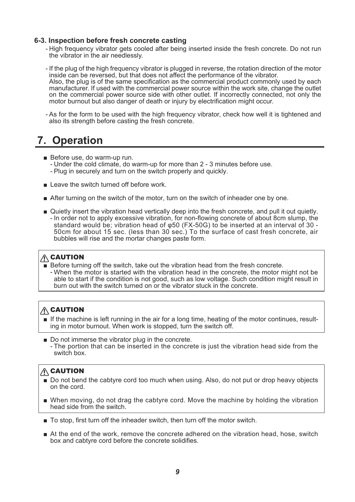#### **6-3. Inspection before fresh concrete casting**

- High frequency vibrator gets cooled after being inserted inside the fresh concrete. Do not run the vibrator in the air needlessly.
- If the plug of the high frequency vibrator is plugged in reverse, the rotation direction of the motor inside can be reversed, but that does not affect the performance of the vibrator. Also, the plug is of the same specification as the commercial product commonly used by each manufacturer. If used with the commercial power source within the work site, change the outlet on the commercial power source side with other outlet. If incorrectly connected, not only the motor burnout but also danger of death or injury by electrification might occur.
- As for the form to be used with the high frequency vibrator, check how well it is tightened and also its strength before casting the fresh concrete.

# **7. Operation**

- Before use, do warm-up run.
	- Under the cold climate, do warm-up for more than 2 3 minutes before use.
	- Plug in securely and turn on the switch properly and quickly.
- Leave the switch turned off before work.
- After turning on the switch of the motor, turn on the switch of inheader one by one.
- In order not to apply excessive vibration, for non-flowing concrete of about 8cm slump, the standard would be; vibration head of φ50 (FX-50G) to be inserted at an interval of 30 - 50cm for about 15 sec. (less than 30 sec.) To the surface of cast fresh concrete, air bubbles will rise and the mortar changes paste form. ■ Quietly insert the vibration head vertically deep into the fresh concrete, and pull it out quietly.

#### 䟿 CAUTION

- Before turning off the switch, take out the vibration head from the fresh concrete.
- When the motor is started with the vibration head in the concrete, the motor might not be able to start if the condition is not good, such as low voltage. Such condition might result in burn out with the switch turned on or the vibrator stuck in the concrete.

### $\hat{A}$  CAUTION

- If the machine is left running in the air for a long time, heating of the motor continues, resulting in motor burnout. When work is stopped, turn the switch off.
- The portion that can be inserted in the concrete is just the vibration head side from the switch box. ■ Do not immerse the vibrator plug in the concrete.

### **A** CAUTION

- Do not bend the cabtyre cord too much when using. Also, do not put or drop heavy objects on the cord.
- When moving, do not drag the cabtyre cord. Move the machine by holding the vibration head side from the switch.
- To stop, first turn off the inheader switch, then turn off the motor switch.
- At the end of the work, remove the concrete adhered on the vibration head, hose, switch box and cabtyre cord before the concrete solidifies.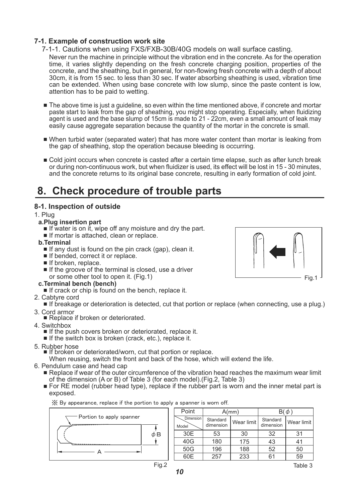#### **7-1. Example of construction work site**

- Never run the machine in principle without the vibration end in the concrete. As for the operation time, it varies slightly depending on the fresh concrete charging position, properties of the concrete, and the sheathing, but in general, for non-flowing fresh concrete with a depth of about 30cm, it is from 15 sec. to less than 30 sec. If water absorbing sheathing is used, vibration time can be extended. When using base concrete with low slump, since the paste content is low, attention has to be paid to wetting. 7-1-1. Cautions when using FXS/FXB-30B/40G models on wall surface casting.
- The above time is just a guideline, so even within the time mentioned above, if concrete and mortar paste start to leak from the gap of sheathing, you might stop operating. Especially, when fluidizing agent is used and the base slump of 15cm is made to 21 - 22cm, even a small amount of leak may easily cause aggregate separation because the quantity of the mortar in the concrete is small.
- When turbid water (separated water) that has more water content than mortar is leaking from the gap of sheathing, stop the operation because bleeding is occurring.
- Cold joint occurs when concrete is casted after a certain time elapse, such as after lunch break or during non-continuous work, but when fluidizer is used, its effect will be lost in 15 - 30 minutes, and the concrete returns to its original base concrete, resulting in early formation of cold joint.

# **8. Check procedure of trouble parts**

#### **8-1. Inspection of outside**

#### 1. Plug

- **a.Plug insertion part**
	- If water is on it, wipe off any moisture and dry the part.
	- If mortar is attached, clean or replace.
- **b.Terminal**
	- If any dust is found on the pin crack (gap), clean it.
	- If bended, correct it or replace.
	- If broken, replace.
	- If the groove of the terminal is closed, use a driver or some other tool to open it. (Fig.1)

#### **c.Terminal bench (bench)**

- If crack or chip is found on the bench, replace it.
- 2. Cabtyre cord
	- If breakage or deterioration is detected, cut that portion or replace (when connecting, use a plug.)
- 3. Cord armor
	- Replace if broken or deteriorated.
- 4. Switchbox
	- If the push covers broken or deteriorated, replace it.
	- If the switch box is broken (crack, etc.), replace it.
- 5. Rubber hose
	- If broken or deteriorated/worn, cut that portion or replace.

When reusing, switch the front and back of the hose, which will extend the life.

- 6. Pendulum case and head cap
	- Replace if wear of the outer circumference of the vibration head reaches the maximum wear limit of the dimension (A or B) of Table 3 (for each model).(Fig.2, Table 3)
	- For RE model (rubber head type), replace if the rubber part is worn and the inner metal part is exposed.

**<del></del>** $\frac{1}{2}$  By appearance, replace if the portion to apply a spanner is worn off.



| Point                     |                       | $A$ (mm)   |                       |            |
|---------------------------|-----------------------|------------|-----------------------|------------|
| <b>Dimension</b><br>Model | Standard<br>dimension | Wear limit | Standard<br>dimension | Wear limit |
| 30E                       | 53                    | 30         | 32                    | 31         |
| 40G                       | 180                   | 175        | 43                    | 41         |
| 50G                       | 196                   | 188        | 52                    | 50         |
| 60E                       | 257                   | 233        | 61                    | 59         |

Fig.1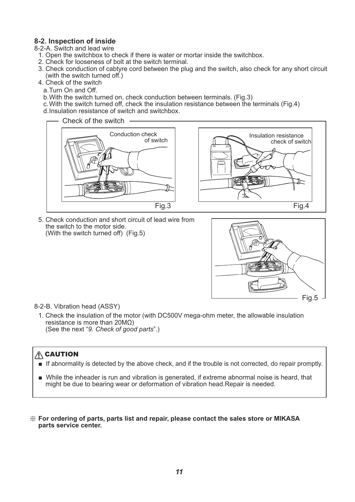#### **8-2. Inspection of inside**

- 8-2-A. Switch and lead wire
- 1. Open the switchbox to check if there is water or mortar inside the switchbox.
- 2. Check for looseness of bolt at the switch terminal.
- 3. Check conduction of cabtyre cord between the plug and the switch, also check for any short circuit (with the switch turned off.)
- 4. Check of the switch
	- a. Turn On and Off.
	- b. With the switch turned on, check conduction between terminals. (Fig.3)
	- c. With the switch turned off, check the insulation resistance between the terminals (Fig.4) d. Insulation resistance of switch and switchbox.





5. Check conduction and short circuit of lead wire from the switch to the motor side. (With the switch turned off) (Fig.5)



8-2-B. Vibration head (ASSY)

1. Check the insulation of the motor (with DC500V mega-ohm meter, the allowable insulation resistance is more than 20MΩ) (See the next "*9. Check of good parts*".)

#### $\hat{A}$  CAUTION

- If abnormality is detected by the above check, and if the trouble is not corrected, do repair promptly.
- While the inheader is run and vibration is generated, if extreme abnormal noise is heard, that might be due to bearing wear or deformation of vibration head.Repair is needed.
- **For ordering of parts, parts list and repair, please contact the sales store or MIKASA**  ※**parts service center.**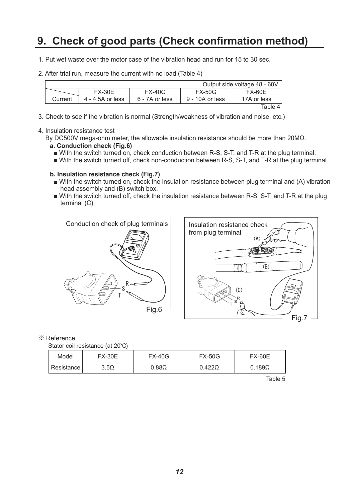# **9. Check of good parts (Check confirmation method)**

- 1. Put wet waste over the motor case of the vibration head and run for 15 to 30 sec.
- 2. After trial run, measure the current with no load.(Table 4)

| Output side voltage 48 - 60V |                  |                |                 |             |
|------------------------------|------------------|----------------|-----------------|-------------|
|                              | <b>FX-30E</b>    | $FX-40G$       | <b>FX-50G</b>   | FX-60E      |
| Current                      | 4 - 4.5A or less | 6 - 7A or less | 9 - 10A or less | 17A or less |
|                              |                  |                |                 | Table 4     |

3. Check to see if the vibration is normal (Strength/weakness of vibration and noise, etc.)

#### 4. Insulation resistance test

By DC500V mega-ohm meter, the allowable insulation resistance should be more than 20MΩ.

- **a. Conduction check (Fig.6)**
	- With the switch turned on, check conduction between R-S, S-T, and T-R at the plug terminal.
- With the switch turned off, check non-conduction between R-S, S-T, and T-R at the plug terminal.

#### **b. Insulation resistance check (Fig.7)**

- With the switch turned on, check the insulation resistance between plug terminal and (A) vibration head assembly and (B) switch box.
- With the switch turned off, check the insulation resistance between R-S, S-T, and T-R at the plug terminal (C).





#### ※ Reference

Stator coil resistance (at 20°C)

| Model        | <b>FX-30E</b> | <b>FX-40G</b> | <b>FX-50G</b> | <b>FX-60E</b> |
|--------------|---------------|---------------|---------------|---------------|
| Resistance I | $3.5\Omega$   | $0.88\Omega$  | $0.422\Omega$ | $0.189\Omega$ |

Table 5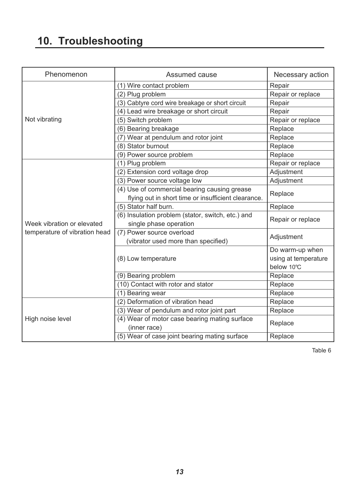# **10. Troubleshooting**

| Phenomenon                    | Assumed cause                                       | Necessary action     |  |
|-------------------------------|-----------------------------------------------------|----------------------|--|
|                               | (1) Wire contact problem                            | Repair               |  |
|                               | (2) Plug problem                                    | Repair or replace    |  |
|                               | (3) Cabtyre cord wire breakage or short circuit     | Repair               |  |
|                               | (4) Lead wire breakage or short circuit             | Repair               |  |
| Not vibrating                 | (5) Switch problem                                  | Repair or replace    |  |
|                               | (6) Bearing breakage                                | Replace              |  |
|                               | (7) Wear at pendulum and rotor joint                | Replace              |  |
|                               | (8) Stator burnout                                  | Replace              |  |
|                               | (9) Power source problem                            | Replace              |  |
|                               | (1) Plug problem                                    | Repair or replace    |  |
|                               | (2) Extension cord voltage drop                     | Adjustment           |  |
|                               | (3) Power source voltage low                        | Adjustment           |  |
|                               | (4) Use of commercial bearing causing grease        |                      |  |
|                               | flying out in short time or insufficient clearance. | Replace              |  |
|                               | (5) Stator half burn.                               | Replace              |  |
|                               | (6) Insulation problem (stator, switch, etc.) and   |                      |  |
| Week vibration or elevated    | single phase operation                              | Repair or replace    |  |
| temperature of vibration head | (7) Power source overload                           | Adjustment           |  |
|                               | (vibrator used more than specified)                 |                      |  |
|                               |                                                     | Do warm-up when      |  |
|                               | (8) Low temperature                                 | using at temperature |  |
|                               |                                                     | below 10°C           |  |
|                               | (9) Bearing problem                                 | Replace              |  |
|                               | (10) Contact with rotor and stator                  | Replace              |  |
|                               | (1) Bearing wear                                    | Replace              |  |
|                               | (2) Deformation of vibration head                   | Replace              |  |
|                               | (3) Wear of pendulum and rotor joint part           | Replace              |  |
| High noise level              | (4) Wear of motor case bearing mating surface       | Replace              |  |
|                               | (inner race)                                        |                      |  |
|                               | (5) Wear of case joint bearing mating surface       | Replace              |  |

Table 6